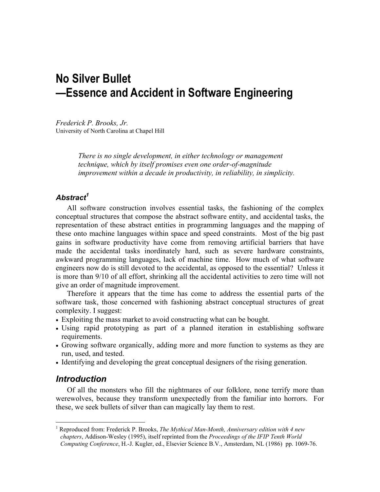# **No Silver Bullet —Essence and Accident in Software Engineering**

*Frederick P. Brooks, Jr.*  University of North Carolina at Chapel Hill

> *There is no single development, in either technology or management technique, which by itself promises even one order-of-magnitude improvement within a decade in productivity, in reliability, in simplicity.*

## *Abstract[1](#page-0-0)*

All software construction involves essential tasks, the fashioning of the complex conceptual structures that compose the abstract software entity, and accidental tasks, the representation of these abstract entities in programming languages and the mapping of these onto machine languages within space and speed constraints. Most of the big past gains in software productivity have come from removing artificial barriers that have made the accidental tasks inordinately hard, such as severe hardware constraints, awkward programming languages, lack of machine time. How much of what software engineers now do is still devoted to the accidental, as opposed to the essential? Unless it is more than 9/10 of all effort, shrinking all the accidental activities to zero time will not give an order of magnitude improvement.

Therefore it appears that the time has come to address the essential parts of the software task, those concerned with fashioning abstract conceptual structures of great complexity. I suggest:

- Exploiting the mass market to avoid constructing what can be bought.
- Using rapid prototyping as part of a planned iteration in establishing software requirements.
- Growing software organically, adding more and more function to systems as they are run, used, and tested.
- Identifying and developing the great conceptual designers of the rising generation.

## *Introduction*

 $\overline{a}$ 

Of all the monsters who fill the nightmares of our folklore, none terrify more than werewolves, because they transform unexpectedly from the familiar into horrors. For these, we seek bullets of silver than can magically lay them to rest.

<span id="page-0-0"></span><sup>&</sup>lt;sup>1</sup> Reproduced from: Frederick P. Brooks, *The Mythical Man-Month, Anniversary edition with 4 new chapters*, Addison-Wesley (1995), itself reprinted from the *Proceedings of the IFIP Tenth World Computing Conference*, H.-J. Kugler, ed., Elsevier Science B.V., Amsterdam, NL (1986) pp. 1069-76.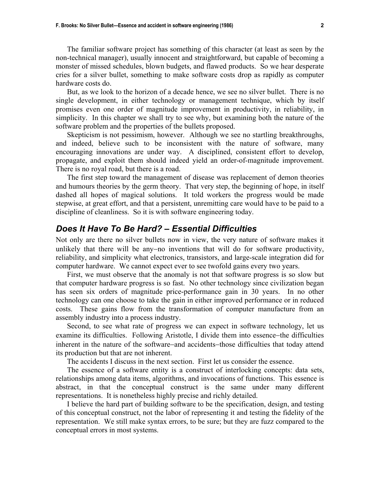The familiar software project has something of this character (at least as seen by the non-technical manager), usually innocent and straightforward, but capable of becoming a monster of missed schedules, blown budgets, and flawed products. So we hear desperate cries for a silver bullet, something to make software costs drop as rapidly as computer hardware costs do.

But, as we look to the horizon of a decade hence, we see no silver bullet. There is no single development, in either technology or management technique, which by itself promises even one order of magnitude improvement in productivity, in reliability, in simplicity. In this chapter we shall try to see why, but examining both the nature of the software problem and the properties of the bullets proposed.

Skepticism is not pessimism, however. Although we see no startling breakthroughs, and indeed, believe such to be inconsistent with the nature of software, many encouraging innovations are under way. A disciplined, consistent effort to develop, propagate, and exploit them should indeed yield an order-of-magnitude improvement. There is no royal road, but there is a road.

The first step toward the management of disease was replacement of demon theories and humours theories by the germ theory. That very step, the beginning of hope, in itself dashed all hopes of magical solutions. It told workers the progress would be made stepwise, at great effort, and that a persistent, unremitting care would have to be paid to a discipline of cleanliness. So it is with software engineering today.

# *Does It Have To Be Hard? – Essential Difficulties*

Not only are there no silver bullets now in view, the very nature of software makes it unlikely that there will be any−no inventions that will do for software productivity, reliability, and simplicity what electronics, transistors, and large-scale integration did for computer hardware. We cannot expect ever to see twofold gains every two years.

First, we must observe that the anomaly is not that software progress is so slow but that computer hardware progress is so fast. No other technology since civilization began has seen six orders of magnitude price-performance gain in 30 years. In no other technology can one choose to take the gain in either improved performance or in reduced costs. These gains flow from the transformation of computer manufacture from an assembly industry into a process industry.

Second, to see what rate of progress we can expect in software technology, let us examine its difficulties. Following Aristotle, I divide them into essence−the difficulties inherent in the nature of the software−and accidents−those difficulties that today attend its production but that are not inherent.

The accidents I discuss in the next section. First let us consider the essence.

The essence of a software entity is a construct of interlocking concepts: data sets, relationships among data items, algorithms, and invocations of functions. This essence is abstract, in that the conceptual construct is the same under many different representations. It is nonetheless highly precise and richly detailed.

I believe the hard part of building software to be the specification, design, and testing of this conceptual construct, not the labor of representing it and testing the fidelity of the representation. We still make syntax errors, to be sure; but they are fuzz compared to the conceptual errors in most systems.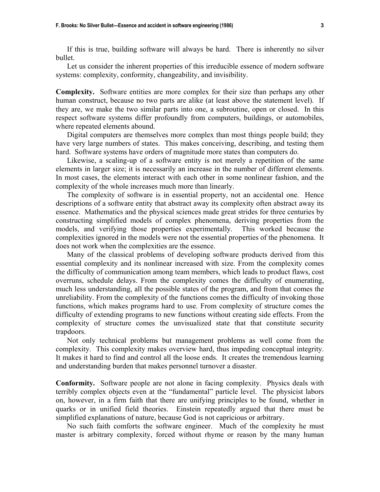If this is true, building software will always be hard. There is inherently no silver bullet.

Let us consider the inherent properties of this irreducible essence of modern software systems: complexity, conformity, changeability, and invisibility.

**Complexity.** Software entities are more complex for their size than perhaps any other human construct, because no two parts are alike (at least above the statement level). If they are, we make the two similar parts into one, a subroutine, open or closed. In this respect software systems differ profoundly from computers, buildings, or automobiles, where repeated elements abound.

Digital computers are themselves more complex than most things people build; they have very large numbers of states. This makes conceiving, describing, and testing them hard. Software systems have orders of magnitude more states than computers do.

Likewise, a scaling-up of a software entity is not merely a repetition of the same elements in larger size; it is necessarily an increase in the number of different elements. In most cases, the elements interact with each other in some nonlinear fashion, and the complexity of the whole increases much more than linearly.

The complexity of software is in essential property, not an accidental one. Hence descriptions of a software entity that abstract away its complexity often abstract away its essence. Mathematics and the physical sciences made great strides for three centuries by constructing simplified models of complex phenomena, deriving properties from the models, and verifying those properties experimentally. This worked because the complexities ignored in the models were not the essential properties of the phenomena. It does not work when the complexities are the essence.

Many of the classical problems of developing software products derived from this essential complexity and its nonlinear increased with size. From the complexity comes the difficulty of communication among team members, which leads to product flaws, cost overruns, schedule delays. From the complexity comes the difficulty of enumerating, much less understanding, all the possible states of the program, and from that comes the unreliability. From the complexity of the functions comes the difficulty of invoking those functions, which makes programs hard to use. From complexity of structure comes the difficulty of extending programs to new functions without creating side effects. From the complexity of structure comes the unvisualized state that that constitute security trapdoors.

Not only technical problems but management problems as well come from the complexity. This complexity makes overview hard, thus impeding conceptual integrity. It makes it hard to find and control all the loose ends. It creates the tremendous learning and understanding burden that makes personnel turnover a disaster.

**Conformity.** Software people are not alone in facing complexity. Physics deals with terribly complex objects even at the "fundamental" particle level. The physicist labors on, however, in a firm faith that there are unifying principles to be found, whether in quarks or in unified field theories. Einstein repeatedly argued that there must be simplified explanations of nature, because God is not capricious or arbitrary.

No such faith comforts the software engineer. Much of the complexity he must master is arbitrary complexity, forced without rhyme or reason by the many human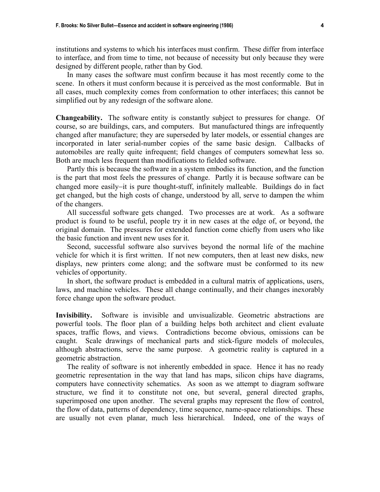institutions and systems to which his interfaces must confirm. These differ from interface to interface, and from time to time, not because of necessity but only because they were designed by different people, rather than by God.

In many cases the software must confirm because it has most recently come to the scene. In others it must conform because it is perceived as the most conformable. But in all cases, much complexity comes from conformation to other interfaces; this cannot be simplified out by any redesign of the software alone.

**Changeability.** The software entity is constantly subject to pressures for change. Of course, so are buildings, cars, and computers. But manufactured things are infrequently changed after manufacture; they are superseded by later models, or essential changes are incorporated in later serial-number copies of the same basic design. Callbacks of automobiles are really quite infrequent; field changes of computers somewhat less so. Both are much less frequent than modifications to fielded software.

Partly this is because the software in a system embodies its function, and the function is the part that most feels the pressures of change. Partly it is because software can be changed more easily−it is pure thought-stuff, infinitely malleable. Buildings do in fact get changed, but the high costs of change, understood by all, serve to dampen the whim of the changers.

All successful software gets changed. Two processes are at work. As a software product is found to be useful, people try it in new cases at the edge of, or beyond, the original domain. The pressures for extended function come chiefly from users who like the basic function and invent new uses for it.

Second, successful software also survives beyond the normal life of the machine vehicle for which it is first written. If not new computers, then at least new disks, new displays, new printers come along; and the software must be conformed to its new vehicles of opportunity.

In short, the software product is embedded in a cultural matrix of applications, users, laws, and machine vehicles. These all change continually, and their changes inexorably force change upon the software product.

**Invisibility.** Software is invisible and unvisualizable. Geometric abstractions are powerful tools. The floor plan of a building helps both architect and client evaluate spaces, traffic flows, and views. Contradictions become obvious, omissions can be caught. Scale drawings of mechanical parts and stick-figure models of molecules, although abstractions, serve the same purpose. A geometric reality is captured in a geometric abstraction.

The reality of software is not inherently embedded in space. Hence it has no ready geometric representation in the way that land has maps, silicon chips have diagrams, computers have connectivity schematics. As soon as we attempt to diagram software structure, we find it to constitute not one, but several, general directed graphs, superimposed one upon another. The several graphs may represent the flow of control, the flow of data, patterns of dependency, time sequence, name-space relationships. These are usually not even planar, much less hierarchical. Indeed, one of the ways of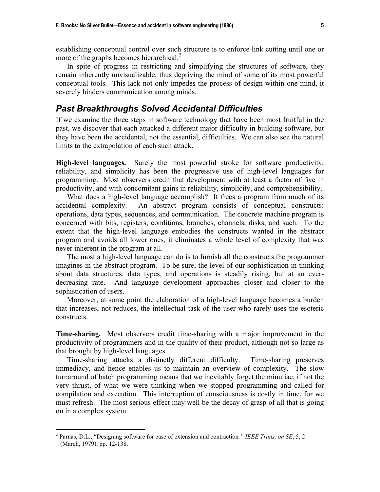establishing conceptual control over such structure is to enforce link cutting until one or more of the graphs becomes hierarchical.<sup>[2](#page-4-0)</sup>

In spite of progress in restricting and simplifying the structures of software, they remain inherently unvisualizable, thus depriving the mind of some of its most powerful conceptual tools. This lack not only impedes the process of design within one mind, it severely hinders communication among minds.

#### *Past Breakthroughs Solved Accidental Difficulties*

If we examine the three steps in software technology that have been most fruitful in the past, we discover that each attacked a different major difficulty in building software, but they have been the accidental, not the essential, difficulties. We can also see the natural limits to the extrapolation of each such attack.

**High-level languages.** Surely the most powerful stroke for software productivity, reliability, and simplicity has been the progressive use of high-level languages for programming. Most observers credit that development with at least a factor of five in productivity, and with concomitant gains in reliability, simplicity, and comprehensibility.

What does a high-level language accomplish? It frees a program from much of its accidental complexity. An abstract program consists of conceptual constructs: operations, data types, sequences, and communication. The concrete machine program is concerned with bits, registers, conditions, branches, channels, disks, and such. To the extent that the high-level language embodies the constructs wanted in the abstract program and avoids all lower ones, it eliminates a whole level of complexity that was never inherent in the program at all.

The most a high-level language can do is to furnish all the constructs the programmer imagines in the abstract program. To be sure, the level of our sophistication in thinking about data structures, data types, and operations is steadily rising, but at an everdecreasing rate. And language development approaches closer and closer to the sophistication of users.

Moreover, at some point the elaboration of a high-level language becomes a burden that increases, not reduces, the intellectual task of the user who rarely uses the esoteric constructs.

**Time-sharing.** Most observers credit time-sharing with a major improvement in the productivity of programmers and in the quality of their product, although not so large as that brought by high-level languages.

Time-sharing attacks a distinctly different difficulty. Time-sharing preserves immediacy, and hence enables us to maintain an overview of complexity. The slow turnaround of batch programming means that we inevitably forget the minutiae, if not the very thrust, of what we were thinking when we stopped programming and called for compilation and execution. This interruption of consciousness is costly in time, for we must refresh. The most serious effect may well be the decay of grasp of all that is going on in a complex system.

 $\overline{a}$ 

<span id="page-4-0"></span><sup>2</sup> Parnas, D.L., "Designing software for ease of extension and contraction*," IEEE Trans. on SE*, 5, 2 (March, 1979), pp. 12-138.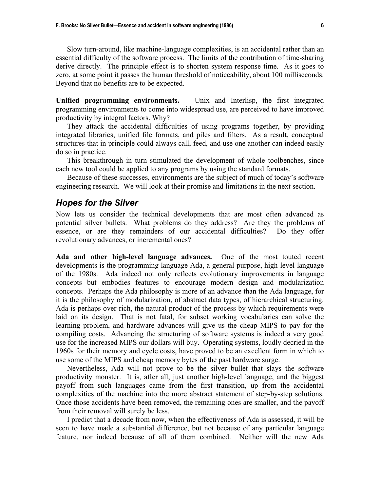Slow turn-around, like machine-language complexities, is an accidental rather than an essential difficulty of the software process. The limits of the contribution of time-sharing derive directly. The principle effect is to shorten system response time. As it goes to zero, at some point it passes the human threshold of noticeability, about 100 milliseconds. Beyond that no benefits are to be expected.

**Unified programming environments.** Unix and Interlisp, the first integrated programming environments to come into widespread use, are perceived to have improved productivity by integral factors. Why?

They attack the accidental difficulties of using programs together, by providing integrated libraries, unified file formats, and piles and filters. As a result, conceptual structures that in principle could always call, feed, and use one another can indeed easily do so in practice.

This breakthrough in turn stimulated the development of whole toolbenches, since each new tool could be applied to any programs by using the standard formats.

Because of these successes, environments are the subject of much of today's software engineering research. We will look at their promise and limitations in the next section.

## *Hopes for the Silver*

Now lets us consider the technical developments that are most often advanced as potential silver bullets. What problems do they address? Are they the problems of essence, or are they remainders of our accidental difficulties? Do they offer revolutionary advances, or incremental ones?

**Ada and other high-level language advances.** One of the most touted recent developments is the programming language Ada, a general-purpose, high-level language of the 1980s. Ada indeed not only reflects evolutionary improvements in language concepts but embodies features to encourage modern design and modularization concepts. Perhaps the Ada philosophy is more of an advance than the Ada language, for it is the philosophy of modularization, of abstract data types, of hierarchical structuring. Ada is perhaps over-rich, the natural product of the process by which requirements were laid on its design. That is not fatal, for subset working vocabularies can solve the learning problem, and hardware advances will give us the cheap MIPS to pay for the compiling costs. Advancing the structuring of software systems is indeed a very good use for the increased MIPS our dollars will buy. Operating systems, loudly decried in the 1960s for their memory and cycle costs, have proved to be an excellent form in which to use some of the MIPS and cheap memory bytes of the past hardware surge.

Nevertheless, Ada will not prove to be the silver bullet that slays the software productivity monster. It is, after all, just another high-level language, and the biggest payoff from such languages came from the first transition, up from the accidental complexities of the machine into the more abstract statement of step-by-step solutions. Once those accidents have been removed, the remaining ones are smaller, and the payoff from their removal will surely be less.

I predict that a decade from now, when the effectiveness of Ada is assessed, it will be seen to have made a substantial difference, but not because of any particular language feature, nor indeed because of all of them combined. Neither will the new Ada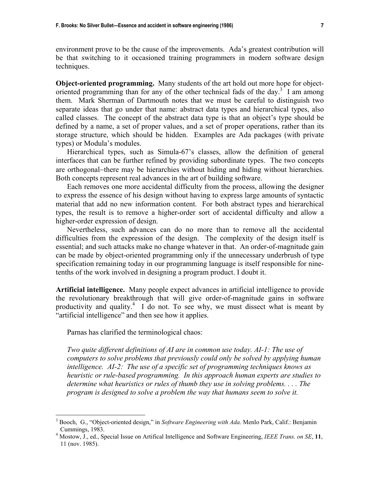environment prove to be the cause of the improvements. Ada's greatest contribution will be that switching to it occasioned training programmers in modern software design techniques.

**Object-oriented programming.** Many students of the art hold out more hope for objectoriented programming than for any of the other technical fads of the day. $3^{\circ}$  $3^{\circ}$  I am among them. Mark Sherman of Dartmouth notes that we must be careful to distinguish two separate ideas that go under that name: abstract data types and hierarchical types, also called classes. The concept of the abstract data type is that an object's type should be defined by a name, a set of proper values, and a set of proper operations, rather than its storage structure, which should be hidden. Examples are Ada packages (with private types) or Modula's modules.

Hierarchical types, such as Simula-67's classes, allow the definition of general interfaces that can be further refined by providing subordinate types. The two concepts are orthogonal−there may be hierarchies without hiding and hiding without hierarchies. Both concepts represent real advances in the art of building software.

Each removes one more accidental difficulty from the process, allowing the designer to express the essence of his design without having to express large amounts of syntactic material that add no new information content. For both abstract types and hierarchical types, the result is to remove a higher-order sort of accidental difficulty and allow a higher-order expression of design.

Nevertheless, such advances can do no more than to remove all the accidental difficulties from the expression of the design. The complexity of the design itself is essential; and such attacks make no change whatever in that. An order-of-magnitude gain can be made by object-oriented programming only if the unnecessary underbrush of type specification remaining today in our programming language is itself responsible for ninetenths of the work involved in designing a program product. I doubt it.

**Artificial intelligence.** Many people expect advances in artificial intelligence to provide the revolutionary breakthrough that will give order-of-magnitude gains in software productivity and quality.<sup>4</sup> I do not. To see why, we must dissect what is meant by "artificial intelligence" and then see how it applies.

Parnas has clarified the terminological chaos:

<u>.</u>

*Two quite different definitions of AI are in common use today. AI-1: The use of computers to solve problems that previously could only be solved by applying human intelligence. AI-2: The use of a specific set of programming techniques knows as heuristic or rule-based programming. In this approach human experts are studies to determine what heuristics or rules of thumb they use in solving problems. . . . The program is designed to solve a problem the way that humans seem to solve it.* 

<span id="page-6-0"></span><sup>&</sup>lt;sup>3</sup> Booch, G., "Object-oriented design," in *Software Engineering with Ada*. Menlo Park, Calif.: Benjamin Cummings, 1983.

<span id="page-6-1"></span><sup>&</sup>lt;sup>4</sup> Mostow, J., ed., Special Issue on Artifical Intelligence and Software Engineering, *IEEE Trans. on SE*, 11, 11 (nov. 1985).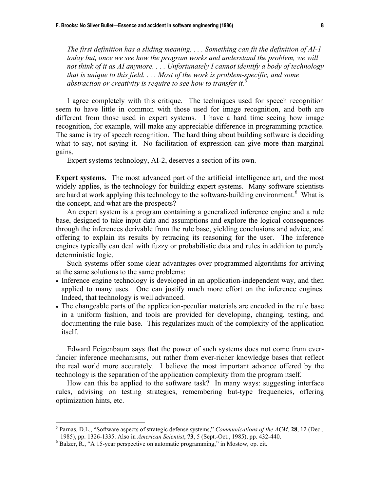*The first definition has a sliding meaning. . . . Something can fit the definition of AI-1*  today but, once we see how the program works and understand the problem, we will *not think of it as AI anymore. . . . Unfortunately I cannot identify a body of technology that is unique to this field. . . . Most of the work is problem-specific, and some abstraction or creativity is require to see how to transfer it.*[5](#page-7-0)

I agree completely with this critique. The techniques used for speech recognition seem to have little in common with those used for image recognition, and both are different from those used in expert systems. I have a hard time seeing how image recognition, for example, will make any appreciable difference in programming practice. The same is try of speech recognition. The hard thing about building software is deciding what to say, not saying it. No facilitation of expression can give more than marginal gains.

Expert systems technology, AI-2, deserves a section of its own.

**Expert systems.** The most advanced part of the artificial intelligence art, and the most widely applies, is the technology for building expert systems. Many software scientists are hard at work applying this technology to the software-building environment.<sup>[6](#page-7-1)</sup> What is the concept, and what are the prospects?

An expert system is a program containing a generalized inference engine and a rule base, designed to take input data and assumptions and explore the logical consequences through the inferences derivable from the rule base, yielding conclusions and advice, and offering to explain its results by retracing its reasoning for the user. The inference engines typically can deal with fuzzy or probabilistic data and rules in addition to purely deterministic logic.

Such systems offer some clear advantages over programmed algorithms for arriving at the same solutions to the same problems:

- Inference engine technology is developed in an application-independent way, and then applied to many uses. One can justify much more effort on the inference engines. Indeed, that technology is well advanced.
- The changeable parts of the application-peculiar materials are encoded in the rule base in a uniform fashion, and tools are provided for developing, changing, testing, and documenting the rule base. This regularizes much of the complexity of the application itself.

Edward Feigenbaum says that the power of such systems does not come from everfancier inference mechanisms, but rather from ever-richer knowledge bases that reflect the real world more accurately. I believe the most important advance offered by the technology is the separation of the application complexity from the program itself.

How can this be applied to the software task? In many ways: suggesting interface rules, advising on testing strategies, remembering but-type frequencies, offering optimization hints, etc.

 $\overline{a}$ 

<span id="page-7-0"></span><sup>5</sup> Parnas, D.L., "Software aspects of strategic defense systems," *Communications of the ACM*, **28**, 12 (Dec., 1985), pp. 1326-1335. Also in *American Scientist*, **73**, 5 (Sept.-Oct., 1985), pp. 432-440. 6

<span id="page-7-1"></span> $6$  Balzer, R., "A 15-year perspective on automatic programming," in Mostow, op. cit.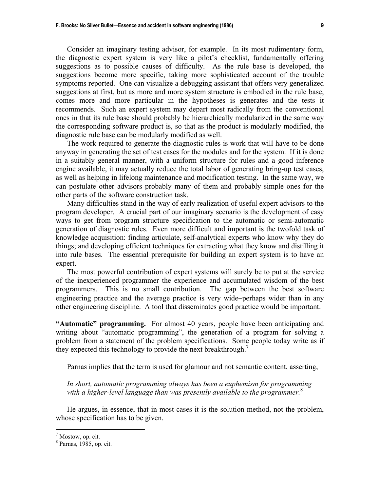Consider an imaginary testing advisor, for example. In its most rudimentary form, the diagnostic expert system is very like a pilot's checklist, fundamentally offering suggestions as to possible causes of difficulty. As the rule base is developed, the suggestions become more specific, taking more sophisticated account of the trouble symptoms reported. One can visualize a debugging assistant that offers very generalized suggestions at first, but as more and more system structure is embodied in the rule base, comes more and more particular in the hypotheses is generates and the tests it recommends. Such an expert system may depart most radically from the conventional ones in that its rule base should probably be hierarchically modularized in the same way the corresponding software product is, so that as the product is modularly modified, the diagnostic rule base can be modularly modified as well.

The work required to generate the diagnostic rules is work that will have to be done anyway in generating the set of test cases for the modules and for the system. If it is done in a suitably general manner, with a uniform structure for rules and a good inference engine available, it may actually reduce the total labor of generating bring-up test cases, as well as helping in lifelong maintenance and modification testing. In the same way, we can postulate other advisors probably many of them and probably simple ones for the other parts of the software construction task.

Many difficulties stand in the way of early realization of useful expert advisors to the program developer. A crucial part of our imaginary scenario is the development of easy ways to get from program structure specification to the automatic or semi-automatic generation of diagnostic rules. Even more difficult and important is the twofold task of knowledge acquisition: finding articulate, self-analytical experts who know why they do things; and developing efficient techniques for extracting what they know and distilling it into rule bases. The essential prerequisite for building an expert system is to have an expert.

The most powerful contribution of expert systems will surely be to put at the service of the inexperienced programmer the experience and accumulated wisdom of the best programmers. This is no small contribution. The gap between the best software engineering practice and the average practice is very wide−perhaps wider than in any other engineering discipline. A tool that disseminates good practice would be important.

**"Automatic" programming.** For almost 40 years, people have been anticipating and writing about "automatic programming", the generation of a program for solving a problem from a statement of the problem specifications. Some people today write as if they expected this technology to provide the next breakthrough.<sup>[7](#page-8-0)</sup>

Parnas implies that the term is used for glamour and not semantic content, asserting,

*In short, automatic programming always has been a euphemism for programming with a higher-level language than was presently available to the programmer.*[8](#page-8-1)

He argues, in essence, that in most cases it is the solution method, not the problem, whose specification has to be given.

<span id="page-8-0"></span> $\frac{1}{7}$  Mostow, op. cit.

<span id="page-8-1"></span><sup>8</sup> Parnas, 1985, op. cit.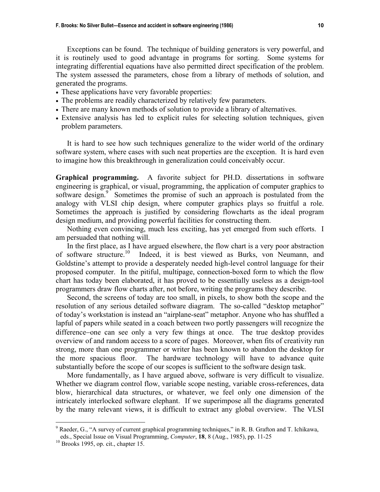Exceptions can be found. The technique of building generators is very powerful, and it is routinely used to good advantage in programs for sorting. Some systems for integrating differential equations have also permitted direct specification of the problem. The system assessed the parameters, chose from a library of methods of solution, and generated the programs.

- These applications have very favorable properties:
- The problems are readily characterized by relatively few parameters.
- There are many known methods of solution to provide a library of alternatives.
- Extensive analysis has led to explicit rules for selecting solution techniques, given problem parameters.

It is hard to see how such techniques generalize to the wider world of the ordinary software system, where cases with such neat properties are the exception. It is hard even to imagine how this breakthrough in generalization could conceivably occur.

**Graphical programming.** A favorite subject for PH.D. dissertations in software engineering is graphical, or visual, programming, the application of computer graphics to software design.<sup>[9](#page-9-0)</sup> Sometimes the promise of such an approach is postulated from the analogy with VLSI chip design, where computer graphics plays so fruitful a role. Sometimes the approach is justified by considering flowcharts as the ideal program design medium, and providing powerful facilities for constructing them.

Nothing even convincing, much less exciting, has yet emerged from such efforts. I am persuaded that nothing will.

In the first place, as I have argued elsewhere, the flow chart is a very poor abstraction of software structure.<sup>10</sup> Indeed, it is best viewed as Burks, von Neumann, and Goldstine's attempt to provide a desperately needed high-level control language for their proposed computer. In the pitiful, multipage, connection-boxed form to which the flow chart has today been elaborated, it has proved to be essentially useless as a design-tool programmers draw flow charts after, not before, writing the programs they describe.

Second, the screens of today are too small, in pixels, to show both the scope and the resolution of any serious detailed software diagram. The so-called "desktop metaphor" of today's workstation is instead an "airplane-seat" metaphor. Anyone who has shuffled a lapful of papers while seated in a coach between two portly passengers will recognize the difference−one can see only a very few things at once. The true desktop provides overview of and random access to a score of pages. Moreover, when fits of creativity run strong, more than one programmer or writer has been known to abandon the desktop for the more spacious floor. The hardware technology will have to advance quite substantially before the scope of our scopes is sufficient to the software design task.

More fundamentally, as I have argued above, software is very difficult to visualize. Whether we diagram control flow, variable scope nesting, variable cross-references, data blow, hierarchical data structures, or whatever, we feel only one dimension of the intricately interlocked software elephant. If we superimpose all the diagrams generated by the many relevant views, it is difficult to extract any global overview. The VLSI

1

<span id="page-9-0"></span> $9^9$  Raeder, G., "A survey of current graphical programming techniques," in R. B. Grafton and T. Ichikawa, eds., Special Issue on Visual Programming, *Computer*, **18**, 8 (Aug., 1985), pp. 11-25 10 Brooks 1995, op. cit., chapter 15.

<span id="page-9-1"></span>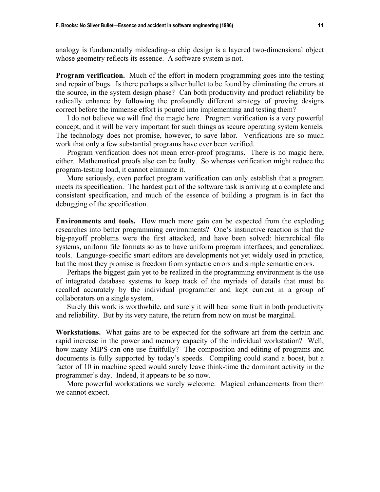analogy is fundamentally misleading−a chip design is a layered two-dimensional object whose geometry reflects its essence. A software system is not.

**Program verification.** Much of the effort in modern programming goes into the testing and repair of bugs. Is there perhaps a silver bullet to be found by eliminating the errors at the source, in the system design phase? Can both productivity and product reliability be radically enhance by following the profoundly different strategy of proving designs correct before the immense effort is poured into implementing and testing them?

I do not believe we will find the magic here. Program verification is a very powerful concept, and it will be very important for such things as secure operating system kernels. The technology does not promise, however, to save labor. Verifications are so much work that only a few substantial programs have ever been verified.

Program verification does not mean error-proof programs. There is no magic here, either. Mathematical proofs also can be faulty. So whereas verification might reduce the program-testing load, it cannot eliminate it.

More seriously, even perfect program verification can only establish that a program meets its specification. The hardest part of the software task is arriving at a complete and consistent specification, and much of the essence of building a program is in fact the debugging of the specification.

**Environments and tools.** How much more gain can be expected from the exploding researches into better programming environments? One's instinctive reaction is that the big-payoff problems were the first attacked, and have been solved: hierarchical file systems, uniform file formats so as to have uniform program interfaces, and generalized tools. Language-specific smart editors are developments not yet widely used in practice, but the most they promise is freedom from syntactic errors and simple semantic errors.

Perhaps the biggest gain yet to be realized in the programming environment is the use of integrated database systems to keep track of the myriads of details that must be recalled accurately by the individual programmer and kept current in a group of collaborators on a single system.

Surely this work is worthwhile, and surely it will bear some fruit in both productivity and reliability. But by its very nature, the return from now on must be marginal.

**Workstations.** What gains are to be expected for the software art from the certain and rapid increase in the power and memory capacity of the individual workstation? Well, how many MIPS can one use fruitfully? The composition and editing of programs and documents is fully supported by today's speeds. Compiling could stand a boost, but a factor of 10 in machine speed would surely leave think-time the dominant activity in the programmer's day. Indeed, it appears to be so now.

More powerful workstations we surely welcome. Magical enhancements from them we cannot expect.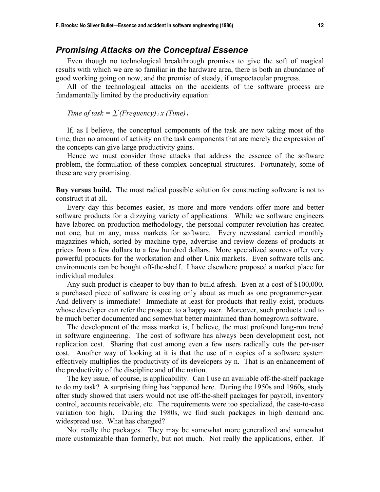## *Promising Attacks on the Conceptual Essence*

Even though no technological breakthrough promises to give the soft of magical results with which we are so familiar in the hardware area, there is both an abundance of good working going on now, and the promise of steady, if unspectacular progress.

All of the technological attacks on the accidents of the software process are fundamentally limited by the productivity equation:

#### *Time of task =*  $\sum$  *(Frequency) i x* (*Time*) *i*

If, as I believe, the conceptual components of the task are now taking most of the time, then no amount of activity on the task components that are merely the expression of the concepts can give large productivity gains.

Hence we must consider those attacks that address the essence of the software problem, the formulation of these complex conceptual structures. Fortunately, some of these are very promising.

**Buy versus build.** The most radical possible solution for constructing software is not to construct it at all.

Every day this becomes easier, as more and more vendors offer more and better software products for a dizzying variety of applications. While we software engineers have labored on production methodology, the personal computer revolution has created not one, but m any, mass markets for software. Every newsstand carried monthly magazines which, sorted by machine type, advertise and review dozens of products at prices from a few dollars to a few hundred dollars. More specialized sources offer very powerful products for the workstation and other Unix markets. Even software tolls and environments can be bought off-the-shelf. I have elsewhere proposed a market place for individual modules.

Any such product is cheaper to buy than to build afresh. Even at a cost of \$100,000, a purchased piece of software is costing only about as much as one programmer-year. And delivery is immediate! Immediate at least for products that really exist, products whose developer can refer the prospect to a happy user. Moreover, such products tend to be much better documented and somewhat better maintained than homegrown software.

The development of the mass market is, I believe, the most profound long-run trend in software engineering. The cost of software has always been development cost, not replication cost. Sharing that cost among even a few users radically cuts the per-user cost. Another way of looking at it is that the use of n copies of a software system effectively multiplies the productivity of its developers by n. That is an enhancement of the productivity of the discipline and of the nation.

The key issue, of course, is applicability. Can I use an available off-the-shelf package to do my task? A surprising thing has happened here. During the 1950s and 1960s, study after study showed that users would not use off-the-shelf packages for payroll, inventory control, accounts receivable, etc. The requirements were too specialized, the case-to-case variation too high. During the 1980s, we find such packages in high demand and widespread use. What has changed?

Not really the packages. They may be somewhat more generalized and somewhat more customizable than formerly, but not much. Not really the applications, either. If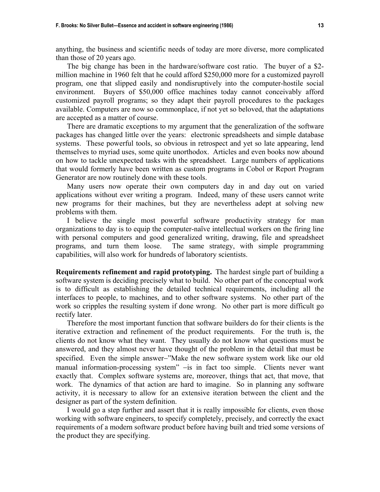anything, the business and scientific needs of today are more diverse, more complicated than those of 20 years ago.

The big change has been in the hardware/software cost ratio. The buyer of a \$2 million machine in 1960 felt that he could afford \$250,000 more for a customized payroll program, one that slipped easily and nondisruptively into the computer-hostile social environment. Buyers of \$50,000 office machines today cannot conceivably afford customized payroll programs; so they adapt their payroll procedures to the packages available. Computers are now so commonplace, if not yet so beloved, that the adaptations are accepted as a matter of course.

There are dramatic exceptions to my argument that the generalization of the software packages has changed little over the years: electronic spreadsheets and simple database systems. These powerful tools, so obvious in retrospect and yet so late appearing, lend themselves to myriad uses, some quite unorthodox. Articles and even books now abound on how to tackle unexpected tasks with the spreadsheet. Large numbers of applications that would formerly have been written as custom programs in Cobol or Report Program Generator are now routinely done with these tools.

Many users now operate their own computers day in and day out on varied applications without ever writing a program. Indeed, many of these users cannot write new programs for their machines, but they are nevertheless adept at solving new problems with them.

I believe the single most powerful software productivity strategy for man organizations to day is to equip the computer-naïve intellectual workers on the firing line with personal computers and good generalized writing, drawing, file and spreadsheet programs, and turn them loose. The same strategy, with simple programming capabilities, will also work for hundreds of laboratory scientists.

**Requirements refinement and rapid prototyping.** The hardest single part of building a software system is deciding precisely what to build. No other part of the conceptual work is to difficult as establishing the detailed technical requirements, including all the interfaces to people, to machines, and to other software systems. No other part of the work so cripples the resulting system if done wrong. No other part is more difficult go rectify later.

Therefore the most important function that software builders do for their clients is the iterative extraction and refinement of the product requirements. For the truth is, the clients do not know what they want. They usually do not know what questions must be answered, and they almost never have thought of the problem in the detail that must be specified. Even the simple answer−"Make the new software system work like our old manual information-processing system" −is in fact too simple. Clients never want exactly that. Complex software systems are, moreover, things that act, that move, that work. The dynamics of that action are hard to imagine. So in planning any software activity, it is necessary to allow for an extensive iteration between the client and the designer as part of the system definition.

I would go a step further and assert that it is really impossible for clients, even those working with software engineers, to specify completely, precisely, and correctly the exact requirements of a modern software product before having built and tried some versions of the product they are specifying.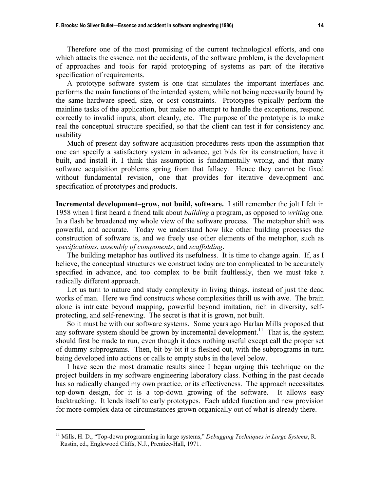Therefore one of the most promising of the current technological efforts, and one which attacks the essence, not the accidents, of the software problem, is the development of approaches and tools for rapid prototyping of systems as part of the iterative specification of requirements.

A prototype software system is one that simulates the important interfaces and performs the main functions of the intended system, while not being necessarily bound by the same hardware speed, size, or cost constraints. Prototypes typically perform the mainline tasks of the application, but make no attempt to handle the exceptions, respond correctly to invalid inputs, abort cleanly, etc. The purpose of the prototype is to make real the conceptual structure specified, so that the client can test it for consistency and usability

Much of present-day software acquisition procedures rests upon the assumption that one can specify a satisfactory system in advance, get bids for its construction, have it built, and install it. I think this assumption is fundamentally wrong, and that many software acquisition problems spring from that fallacy. Hence they cannot be fixed without fundamental revision, one that provides for iterative development and specification of prototypes and products.

**Incremental development**−**grow, not build, software.** I still remember the jolt I felt in 1958 when I first heard a friend talk about *building* a program, as opposed to *writing* one. In a flash be broadened my whole view of the software process. The metaphor shift was powerful, and accurate. Today we understand how like other building processes the construction of software is, and we freely use other elements of the metaphor, such as *specifications*, *assembly of components*, and *scaffolding*.

The building metaphor has outlived its usefulness. It is time to change again. If, as I believe, the conceptual structures we construct today are too complicated to be accurately specified in advance, and too complex to be built faultlessly, then we must take a radically different approach.

Let us turn to nature and study complexity in living things, instead of just the dead works of man. Here we find constructs whose complexities thrill us with awe. The brain alone is intricate beyond mapping, powerful beyond imitation, rich in diversity, selfprotecting, and self-renewing. The secret is that it is grown, not built.

So it must be with our software systems. Some years ago Harlan Mills proposed that any software system should be grown by incremental development.<sup>11</sup> That is, the system should first be made to run, even though it does nothing useful except call the proper set of dummy subprograms. Then, bit-by-bit it is fleshed out, with the subprograms in turn being developed into actions or calls to empty stubs in the level below.

I have seen the most dramatic results since I began urging this technique on the project builders in my software engineering laboratory class. Nothing in the past decade has so radically changed my own practice, or its effectiveness. The approach necessitates top-down design, for it is a top-down growing of the software. It allows easy backtracking. It lends itself to early prototypes. Each added function and new provision for more complex data or circumstances grown organically out of what is already there.

 $\overline{a}$ 

<span id="page-13-0"></span><sup>11</sup> Mills, H. D., "Top-down programming in large systems," *Debugging Techniques in Large Systems*, R. Rustin, ed., Englewood Cliffs, N.J., Prentice-Hall, 1971.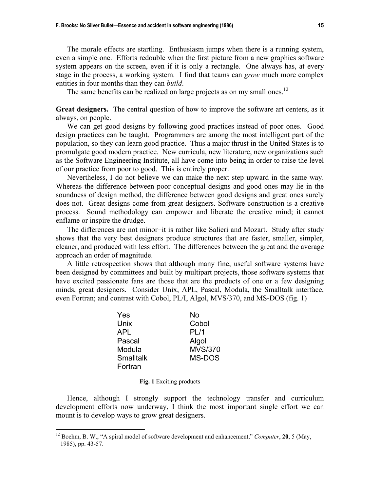The morale effects are startling. Enthusiasm jumps when there is a running system, even a simple one. Efforts redouble when the first picture from a new graphics software system appears on the screen, even if it is only a rectangle. One always has, at every stage in the process, a working system. I find that teams can *grow* much more complex entities in four months than they can *build*.

The same benefits can be realized on large projects as on my small ones.<sup>[12](#page-14-0)</sup>

**Great designers.** The central question of how to improve the software art centers, as it always, on people.

We can get good designs by following good practices instead of poor ones. Good design practices can be taught. Programmers are among the most intelligent part of the population, so they can learn good practice. Thus a major thrust in the United States is to promulgate good modern practice. New curricula, new literature, new organizations such as the Software Engineering Institute, all have come into being in order to raise the level of our practice from poor to good. This is entirely proper.

Nevertheless, I do not believe we can make the next step upward in the same way. Whereas the difference between poor conceptual designs and good ones may lie in the soundness of design method, the difference between good designs and great ones surely does not. Great designs come from great designers. Software construction is a creative process. Sound methodology can empower and liberate the creative mind; it cannot enflame or inspire the drudge.

The differences are not minor−it is rather like Salieri and Mozart. Study after study shows that the very best designers produce structures that are faster, smaller, simpler, cleaner, and produced with less effort. The differences between the great and the average approach an order of magnitude.

A little retrospection shows that although many fine, useful software systems have been designed by committees and built by multipart projects, those software systems that have excited passionate fans are those that are the products of one or a few designing minds, great designers. Consider Unix, APL, Pascal, Modula, the Smalltalk interface, even Fortran; and contrast with Cobol, PL/I, Algol, MVS/370, and MS-DOS (fig. 1)

| Yes              | No             |
|------------------|----------------|
| Unix             | Cobol          |
| <b>APL</b>       | PL/1           |
| Pascal           | Algol          |
| Modula           | <b>MVS/370</b> |
| <b>Smalltalk</b> | MS-DOS         |
| Fortran          |                |

#### **Fig. 1** Exciting products

 $\overline{a}$ 

Hence, although I strongly support the technology transfer and curriculum development efforts now underway, I think the most important single effort we can mount is to develop ways to grow great designers.

<span id="page-14-0"></span><sup>12</sup> Boehm, B. W., "A spiral model of software development and enhancement," *Computer*, **20**, 5 (May, 1985), pp. 43-57.